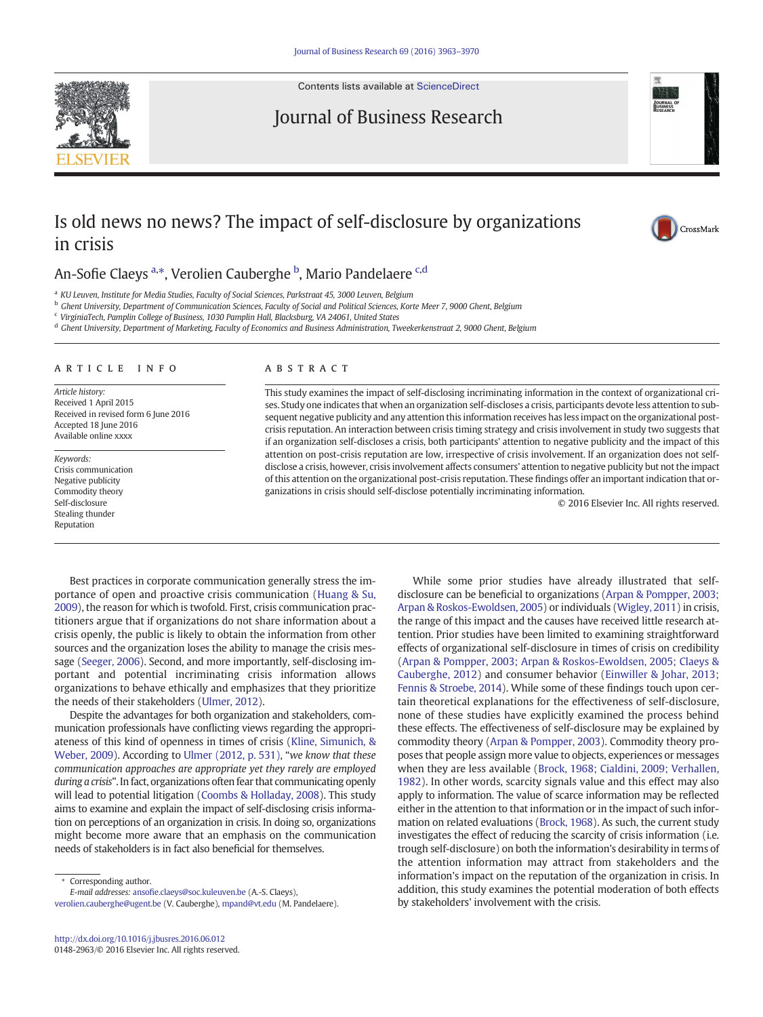Contents lists available at [ScienceDirect](http://www.sciencedirect.com/science/journal/01482963)

# Journal of Business Research

# Is old news no news? The impact of self-disclosure by organizations in crisis



# An-Sofie Claeys <sup>a,</sup>\*, Verolien Cauberghe <sup>b</sup>, Mario Pandelaere <sup>c,d</sup>

<sup>a</sup> KU Leuven, Institute for Media Studies, Faculty of Social Sciences, Parkstraat 45, 3000 Leuven, Belgium

<sup>b</sup> Ghent University, Department of Communication Sciences, Faculty of Social and Political Sciences, Korte Meer 7, 9000 Ghent, Belgium

<sup>c</sup> VirginiaTech, Pamplin College of Business, 1030 Pamplin Hall, Blacksburg, VA 24061, United States

<sup>d</sup> Ghent University, Department of Marketing, Faculty of Economics and Business Administration, Tweekerkenstraat 2, 9000 Ghent, Belgium

#### article info abstract

Article history: Received 1 April 2015 Received in revised form 6 June 2016 Accepted 18 June 2016 Available online xxxx

Keywords: Crisis communication Negative publicity Commodity theory Self-disclosure Stealing thunder Reputation

This study examines the impact of self-disclosing incriminating information in the context of organizational crises. Study one indicates that when an organization self-discloses a crisis, participants devote less attention to subsequent negative publicity and any attention this information receives has less impact on the organizational postcrisis reputation. An interaction between crisis timing strategy and crisis involvement in study two suggests that if an organization self-discloses a crisis, both participants' attention to negative publicity and the impact of this attention on post-crisis reputation are low, irrespective of crisis involvement. If an organization does not selfdisclose a crisis, however, crisis involvement affects consumers' attention to negative publicity but not the impact of this attention on the organizational post-crisis reputation. These findings offer an important indication that organizations in crisis should self-disclose potentially incriminating information.

© 2016 Elsevier Inc. All rights reserved.

Best practices in corporate communication generally stress the importance of open and proactive crisis communication ([Huang & Su,](#page-7-0) [2009](#page-7-0)), the reason for which is twofold. First, crisis communication practitioners argue that if organizations do not share information about a crisis openly, the public is likely to obtain the information from other sources and the organization loses the ability to manage the crisis message ([Seeger, 2006](#page-7-0)). Second, and more importantly, self-disclosing important and potential incriminating crisis information allows organizations to behave ethically and emphasizes that they prioritize the needs of their stakeholders ([Ulmer, 2012](#page-7-0)).

Despite the advantages for both organization and stakeholders, communication professionals have conflicting views regarding the appropriateness of this kind of openness in times of crisis [\(Kline, Simunich, &](#page-7-0) [Weber, 2009](#page-7-0)). According to [Ulmer \(2012, p. 531\),](#page-7-0) "we know that these communication approaches are appropriate yet they rarely are employed during a crisis". In fact, organizations often fear that communicating openly will lead to potential litigation [\(Coombs & Holladay, 2008](#page-7-0)). This study aims to examine and explain the impact of self-disclosing crisis information on perceptions of an organization in crisis. In doing so, organizations might become more aware that an emphasis on the communication needs of stakeholders is in fact also beneficial for themselves.

Corresponding author.

E-mail addresses: ansofie.claeys@soc.kuleuven.be (A.-S. Claeys),

verolien.cauberghe@ugent.be (V. Cauberghe), [mpand@vt.edu](mailto:mpand@vt.edu) (M. Pandelaere).

While some prior studies have already illustrated that selfdisclosure can be beneficial to organizations [\(Arpan & Pompper, 2003;](#page-6-0) [Arpan & Roskos-Ewoldsen, 2005\)](#page-6-0) or individuals [\(Wigley, 2011](#page-7-0)) in crisis, the range of this impact and the causes have received little research attention. Prior studies have been limited to examining straightforward effects of organizational self-disclosure in times of crisis on credibility [\(Arpan & Pompper, 2003; Arpan & Roskos-Ewoldsen, 2005; Claeys &](#page-6-0) [Cauberghe, 2012\)](#page-6-0) and consumer behavior ([Einwiller & Johar, 2013;](#page-7-0) [Fennis & Stroebe, 2014\)](#page-7-0). While some of these findings touch upon certain theoretical explanations for the effectiveness of self-disclosure, none of these studies have explicitly examined the process behind these effects. The effectiveness of self-disclosure may be explained by commodity theory ([Arpan & Pompper, 2003\)](#page-6-0). Commodity theory proposes that people assign more value to objects, experiences or messages when they are less available [\(Brock, 1968; Cialdini, 2009; Verhallen,](#page-6-0) [1982\)](#page-6-0). In other words, scarcity signals value and this effect may also apply to information. The value of scarce information may be reflected either in the attention to that information or in the impact of such information on related evaluations [\(Brock, 1968\)](#page-6-0). As such, the current study investigates the effect of reducing the scarcity of crisis information (i.e. trough self-disclosure) on both the information's desirability in terms of the attention information may attract from stakeholders and the information's impact on the reputation of the organization in crisis. In addition, this study examines the potential moderation of both effects by stakeholders' involvement with the crisis.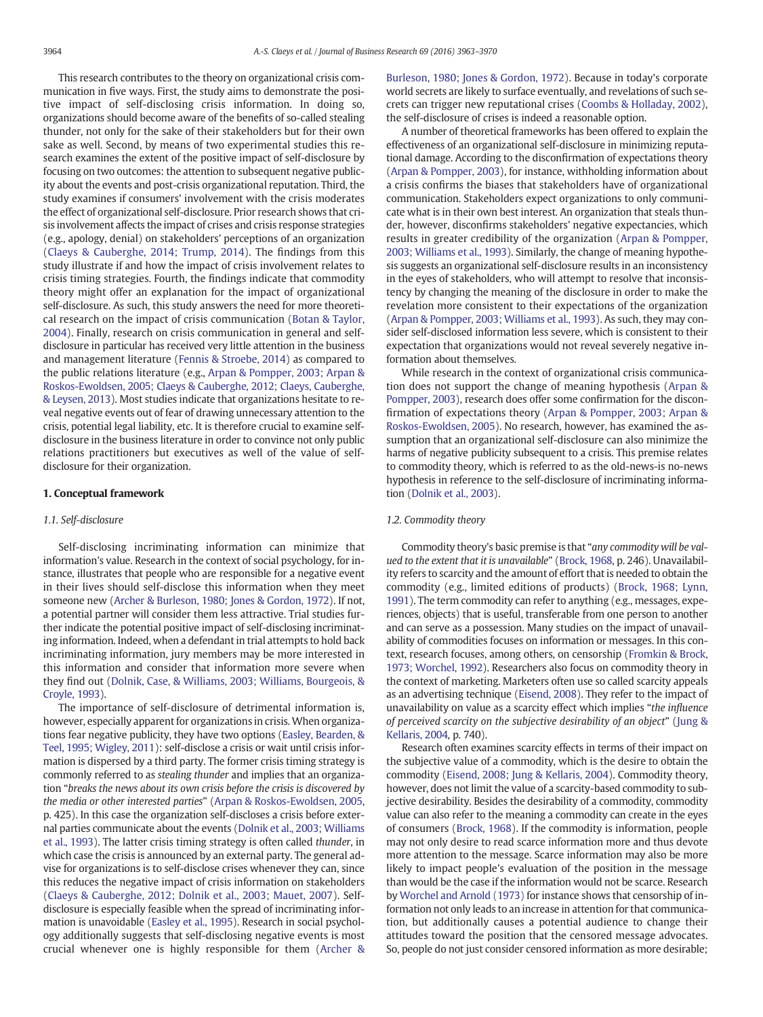This research contributes to the theory on organizational crisis communication in five ways. First, the study aims to demonstrate the positive impact of self-disclosing crisis information. In doing so, organizations should become aware of the benefits of so-called stealing thunder, not only for the sake of their stakeholders but for their own sake as well. Second, by means of two experimental studies this research examines the extent of the positive impact of self-disclosure by focusing on two outcomes: the attention to subsequent negative publicity about the events and post-crisis organizational reputation. Third, the study examines if consumers' involvement with the crisis moderates the effect of organizational self-disclosure. Prior research shows that crisis involvement affects the impact of crises and crisis response strategies (e.g., apology, denial) on stakeholders' perceptions of an organization [\(Claeys & Cauberghe, 2014; Trump, 2014\)](#page-6-0). The findings from this study illustrate if and how the impact of crisis involvement relates to crisis timing strategies. Fourth, the findings indicate that commodity theory might offer an explanation for the impact of organizational self-disclosure. As such, this study answers the need for more theoretical research on the impact of crisis communication [\(Botan & Taylor,](#page-6-0) [2004](#page-6-0)). Finally, research on crisis communication in general and selfdisclosure in particular has received very little attention in the business and management literature ([Fennis & Stroebe, 2014](#page-7-0)) as compared to the public relations literature (e.g., [Arpan & Pompper, 2003; Arpan &](#page-6-0) [Roskos-Ewoldsen, 2005; Claeys & Cauberghe, 2012; Claeys, Cauberghe,](#page-6-0) [& Leysen, 2013](#page-6-0)). Most studies indicate that organizations hesitate to reveal negative events out of fear of drawing unnecessary attention to the crisis, potential legal liability, etc. It is therefore crucial to examine selfdisclosure in the business literature in order to convince not only public relations practitioners but executives as well of the value of selfdisclosure for their organization.

#### 1. Conceptual framework

#### 1.1. Self-disclosure

Self-disclosing incriminating information can minimize that information's value. Research in the context of social psychology, for instance, illustrates that people who are responsible for a negative event in their lives should self-disclose this information when they meet someone new [\(Archer & Burleson, 1980; Jones & Gordon, 1972\)](#page-6-0). If not, a potential partner will consider them less attractive. Trial studies further indicate the potential positive impact of self-disclosing incriminating information. Indeed, when a defendant in trial attempts to hold back incriminating information, jury members may be more interested in this information and consider that information more severe when they find out ([Dolnik, Case, & Williams, 2003; Williams, Bourgeois, &](#page-7-0) [Croyle, 1993](#page-7-0)).

The importance of self-disclosure of detrimental information is, however, especially apparent for organizations in crisis. When organizations fear negative publicity, they have two options [\(Easley, Bearden, &](#page-7-0) [Teel, 1995; Wigley, 2011\)](#page-7-0): self-disclose a crisis or wait until crisis information is dispersed by a third party. The former crisis timing strategy is commonly referred to as stealing thunder and implies that an organization "breaks the news about its own crisis before the crisis is discovered by the media or other interested parties" [\(Arpan & Roskos-Ewoldsen, 2005,](#page-6-0) p. 425). In this case the organization self-discloses a crisis before external parties communicate about the events ([Dolnik et al., 2003; Williams](#page-7-0) [et al., 1993\)](#page-7-0). The latter crisis timing strategy is often called thunder, in which case the crisis is announced by an external party. The general advise for organizations is to self-disclose crises whenever they can, since this reduces the negative impact of crisis information on stakeholders [\(Claeys & Cauberghe, 2012; Dolnik et al., 2003; Mauet, 2007\)](#page-6-0). Selfdisclosure is especially feasible when the spread of incriminating information is unavoidable [\(Easley et al., 1995\)](#page-7-0). Research in social psychology additionally suggests that self-disclosing negative events is most crucial whenever one is highly responsible for them [\(Archer &](#page-6-0) [Burleson, 1980; Jones & Gordon, 1972\)](#page-6-0). Because in today's corporate world secrets are likely to surface eventually, and revelations of such secrets can trigger new reputational crises [\(Coombs & Holladay, 2002](#page-6-0)), the self-disclosure of crises is indeed a reasonable option.

A number of theoretical frameworks has been offered to explain the effectiveness of an organizational self-disclosure in minimizing reputational damage. According to the disconfirmation of expectations theory [\(Arpan & Pompper, 2003](#page-6-0)), for instance, withholding information about a crisis confirms the biases that stakeholders have of organizational communication. Stakeholders expect organizations to only communicate what is in their own best interest. An organization that steals thunder, however, disconfirms stakeholders' negative expectancies, which results in greater credibility of the organization ([Arpan & Pompper,](#page-6-0) [2003; Williams et al., 1993\)](#page-6-0). Similarly, the change of meaning hypothesis suggests an organizational self-disclosure results in an inconsistency in the eyes of stakeholders, who will attempt to resolve that inconsistency by changing the meaning of the disclosure in order to make the revelation more consistent to their expectations of the organization [\(Arpan & Pompper, 2003; Williams et al., 1993](#page-6-0)). As such, they may consider self-disclosed information less severe, which is consistent to their expectation that organizations would not reveal severely negative information about themselves.

While research in the context of organizational crisis communication does not support the change of meaning hypothesis ([Arpan &](#page-6-0) [Pompper, 2003\)](#page-6-0), research does offer some confirmation for the disconfirmation of expectations theory ([Arpan & Pompper, 2003; Arpan &](#page-6-0) [Roskos-Ewoldsen, 2005\)](#page-6-0). No research, however, has examined the assumption that an organizational self-disclosure can also minimize the harms of negative publicity subsequent to a crisis. This premise relates to commodity theory, which is referred to as the old-news-is no-news hypothesis in reference to the self-disclosure of incriminating information [\(Dolnik et al., 2003](#page-7-0)).

#### 1.2. Commodity theory

Commodity theory's basic premise is that "any commodity will be valued to the extent that it is unavailable" ([Brock, 1968](#page-6-0), p. 246). Unavailability refers to scarcity and the amount of effort that is needed to obtain the commodity (e.g., limited editions of products) ([Brock, 1968; Lynn,](#page-6-0) [1991\)](#page-6-0). The term commodity can refer to anything (e.g., messages, experiences, objects) that is useful, transferable from one person to another and can serve as a possession. Many studies on the impact of unavailability of commodities focuses on information or messages. In this context, research focuses, among others, on censorship [\(Fromkin & Brock,](#page-7-0) [1973; Worchel, 1992\)](#page-7-0). Researchers also focus on commodity theory in the context of marketing. Marketers often use so called scarcity appeals as an advertising technique [\(Eisend, 2008](#page-7-0)). They refer to the impact of unavailability on value as a scarcity effect which implies "the influence of perceived scarcity on the subjective desirability of an object" ([Jung &](#page-7-0) [Kellaris, 2004,](#page-7-0) p. 740).

Research often examines scarcity effects in terms of their impact on the subjective value of a commodity, which is the desire to obtain the commodity ([Eisend, 2008; Jung & Kellaris, 2004](#page-7-0)). Commodity theory, however, does not limit the value of a scarcity-based commodity to subjective desirability. Besides the desirability of a commodity, commodity value can also refer to the meaning a commodity can create in the eyes of consumers [\(Brock,](#page-6-0) 1968). If the commodity is information, people may not only desire to read scarce information more and thus devote more attention to the message. Scarce information may also be more likely to impact people's evaluation of the position in the message than would be the case if the information would not be scarce. Research by [Worchel and Arnold \(1973\)](#page-7-0) for instance shows that censorship of information not only leads to an increase in attention for that communication, but additionally causes a potential audience to change their attitudes toward the position that the censored message advocates. So, people do not just consider censored information as more desirable;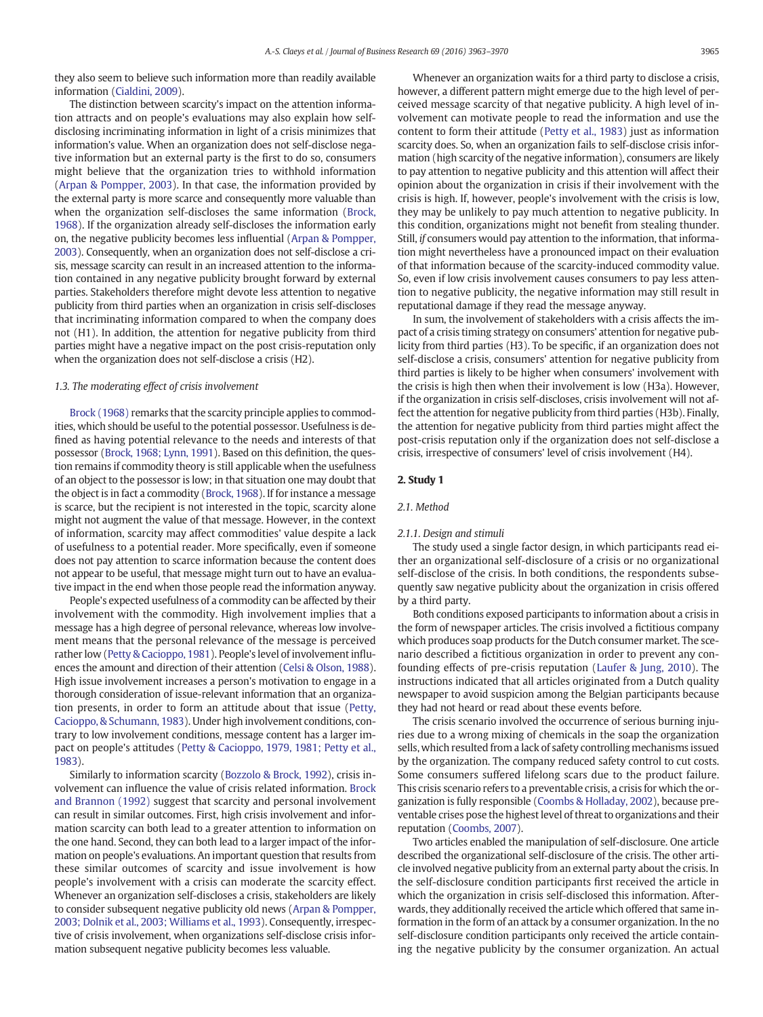they also seem to believe such information more than readily available information [\(Cialdini, 2009\)](#page-6-0).

The distinction between scarcity's impact on the attention information attracts and on people's evaluations may also explain how selfdisclosing incriminating information in light of a crisis minimizes that information's value. When an organization does not self-disclose negative information but an external party is the first to do so, consumers might believe that the organization tries to withhold information [\(Arpan & Pompper, 2003](#page-6-0)). In that case, the information provided by the external party is more scarce and consequently more valuable than when the organization self-discloses the same information [\(Brock,](#page-6-0) [1968\)](#page-6-0). If the organization already self-discloses the information early on, the negative publicity becomes less influential [\(Arpan & Pompper,](#page-6-0) [2003](#page-6-0)). Consequently, when an organization does not self-disclose a crisis, message scarcity can result in an increased attention to the information contained in any negative publicity brought forward by external parties. Stakeholders therefore might devote less attention to negative publicity from third parties when an organization in crisis self-discloses that incriminating information compared to when the company does not (H1). In addition, the attention for negative publicity from third parties might have a negative impact on the post crisis-reputation only when the organization does not self-disclose a crisis (H2).

#### 1.3. The moderating effect of crisis involvement

[Brock \(1968\)](#page-6-0) remarks that the scarcity principle applies to commodities, which should be useful to the potential possessor. Usefulness is defined as having potential relevance to the needs and interests of that possessor [\(Brock, 1968; Lynn, 1991\)](#page-6-0). Based on this definition, the question remains if commodity theory is still applicable when the usefulness of an object to the possessor is low; in that situation one may doubt that the object is in fact a commodity ([Brock, 1968\)](#page-6-0). If for instance a message is scarce, but the recipient is not interested in the topic, scarcity alone might not augment the value of that message. However, in the context of information, scarcity may affect commodities' value despite a lack of usefulness to a potential reader. More specifically, even if someone does not pay attention to scarce information because the content does not appear to be useful, that message might turn out to have an evaluative impact in the end when those people read the information anyway.

People's expected usefulness of a commodity can be affected by their involvement with the commodity. High involvement implies that a message has a high degree of personal relevance, whereas low involvement means that the personal relevance of the message is perceived rather low [\(Petty & Cacioppo, 1981](#page-7-0)). People's level of involvement influences the amount and direction of their attention [\(Celsi & Olson, 1988](#page-6-0)). High issue involvement increases a person's motivation to engage in a thorough consideration of issue-relevant information that an organization presents, in order to form an attitude about that issue ([Petty,](#page-7-0) [Cacioppo, & Schumann, 1983\)](#page-7-0). Under high involvement conditions, contrary to low involvement conditions, message content has a larger impact on people's attitudes ([Petty & Cacioppo, 1979, 1981; Petty et al.,](#page-7-0) [1983](#page-7-0)).

Similarly to information scarcity ([Bozzolo & Brock, 1992\)](#page-6-0), crisis involvement can influence the value of crisis related information. [Brock](#page-6-0) [and Brannon \(1992\)](#page-6-0) suggest that scarcity and personal involvement can result in similar outcomes. First, high crisis involvement and information scarcity can both lead to a greater attention to information on the one hand. Second, they can both lead to a larger impact of the information on people's evaluations. An important question that results from these similar outcomes of scarcity and issue involvement is how people's involvement with a crisis can moderate the scarcity effect. Whenever an organization self-discloses a crisis, stakeholders are likely to consider subsequent negative publicity old news ([Arpan & Pompper,](#page-6-0) [2003; Dolnik et al., 2003; Williams et al., 1993](#page-6-0)). Consequently, irrespective of crisis involvement, when organizations self-disclose crisis information subsequent negative publicity becomes less valuable.

Whenever an organization waits for a third party to disclose a crisis, however, a different pattern might emerge due to the high level of perceived message scarcity of that negative publicity. A high level of involvement can motivate people to read the information and use the content to form their attitude [\(Petty et al., 1983](#page-7-0)) just as information scarcity does. So, when an organization fails to self-disclose crisis information (high scarcity of the negative information), consumers are likely to pay attention to negative publicity and this attention will affect their opinion about the organization in crisis if their involvement with the crisis is high. If, however, people's involvement with the crisis is low, they may be unlikely to pay much attention to negative publicity. In this condition, organizations might not benefit from stealing thunder. Still, if consumers would pay attention to the information, that information might nevertheless have a pronounced impact on their evaluation of that information because of the scarcity-induced commodity value. So, even if low crisis involvement causes consumers to pay less attention to negative publicity, the negative information may still result in reputational damage if they read the message anyway.

In sum, the involvement of stakeholders with a crisis affects the impact of a crisis timing strategy on consumers' attention for negative publicity from third parties (H3). To be specific, if an organization does not self-disclose a crisis, consumers' attention for negative publicity from third parties is likely to be higher when consumers' involvement with the crisis is high then when their involvement is low (H3a). However, if the organization in crisis self-discloses, crisis involvement will not affect the attention for negative publicity from third parties (H3b). Finally, the attention for negative publicity from third parties might affect the post-crisis reputation only if the organization does not self-disclose a crisis, irrespective of consumers' level of crisis involvement (H4).

# 2. Study 1

#### 2.1. Method

#### 2.1.1. Design and stimuli

The study used a single factor design, in which participants read either an organizational self-disclosure of a crisis or no organizational self-disclose of the crisis. In both conditions, the respondents subsequently saw negative publicity about the organization in crisis offered by a third party.

Both conditions exposed participants to information about a crisis in the form of newspaper articles. The crisis involved a fictitious company which produces soap products for the Dutch consumer market. The scenario described a fictitious organization in order to prevent any confounding effects of pre-crisis reputation ([Laufer & Jung, 2010\)](#page-7-0). The instructions indicated that all articles originated from a Dutch quality newspaper to avoid suspicion among the Belgian participants because they had not heard or read about these events before.

The crisis scenario involved the occurrence of serious burning injuries due to a wrong mixing of chemicals in the soap the organization sells, which resulted from a lack of safety controlling mechanisms issued by the organization. The company reduced safety control to cut costs. Some consumers suffered lifelong scars due to the product failure. This crisis scenario refers to a preventable crisis, a crisis for which the organization is fully responsible ([Coombs & Holladay, 2002\)](#page-6-0), because preventable crises pose the highest level of threat to organizations and their reputation [\(Coombs, 2007](#page-6-0)).

Two articles enabled the manipulation of self-disclosure. One article described the organizational self-disclosure of the crisis. The other article involved negative publicity from an external party about the crisis. In the self-disclosure condition participants first received the article in which the organization in crisis self-disclosed this information. Afterwards, they additionally received the article which offered that same information in the form of an attack by a consumer organization. In the no self-disclosure condition participants only received the article containing the negative publicity by the consumer organization. An actual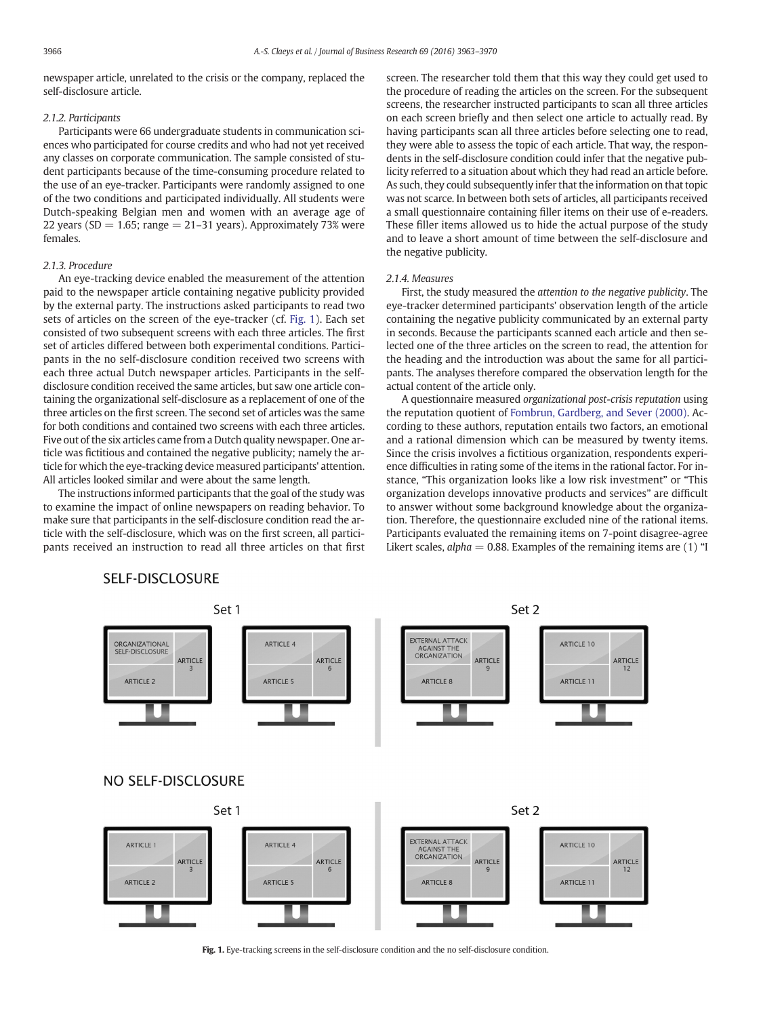newspaper article, unrelated to the crisis or the company, replaced the self-disclosure article.

## 2.1.2. Participants

Participants were 66 undergraduate students in communication sciences who participated for course credits and who had not yet received any classes on corporate communication. The sample consisted of student participants because of the time-consuming procedure related to the use of an eye-tracker. Participants were randomly assigned to one of the two conditions and participated individually. All students were Dutch-speaking Belgian men and women with an average age of 22 years (SD  $= 1.65$ ; range  $= 21-31$  years). Approximately 73% were females.

## 2.1.3. Procedure

An eye-tracking device enabled the measurement of the attention paid to the newspaper article containing negative publicity provided by the external party. The instructions asked participants to read two sets of articles on the screen of the eye-tracker (cf. Fig. 1). Each set consisted of two subsequent screens with each three articles. The first set of articles differed between both experimental conditions. Participants in the no self-disclosure condition received two screens with each three actual Dutch newspaper articles. Participants in the selfdisclosure condition received the same articles, but saw one article containing the organizational self-disclosure as a replacement of one of the three articles on the first screen. The second set of articles was the same for both conditions and contained two screens with each three articles. Five out of the six articles came from a Dutch quality newspaper. One article was fictitious and contained the negative publicity; namely the article for which the eye-tracking device measured participants' attention. All articles looked similar and were about the same length.

The instructions informed participants that the goal of the study was to examine the impact of online newspapers on reading behavior. To make sure that participants in the self-disclosure condition read the article with the self-disclosure, which was on the first screen, all participants received an instruction to read all three articles on that first screen. The researcher told them that this way they could get used to the procedure of reading the articles on the screen. For the subsequent screens, the researcher instructed participants to scan all three articles on each screen briefly and then select one article to actually read. By having participants scan all three articles before selecting one to read, they were able to assess the topic of each article. That way, the respondents in the self-disclosure condition could infer that the negative publicity referred to a situation about which they had read an article before. As such, they could subsequently infer that the information on that topic was not scarce. In between both sets of articles, all participants received a small questionnaire containing filler items on their use of e-readers. These filler items allowed us to hide the actual purpose of the study and to leave a short amount of time between the self-disclosure and the negative publicity.

## 2.1.4. Measures

First, the study measured the attention to the negative publicity. The eye-tracker determined participants' observation length of the article containing the negative publicity communicated by an external party in seconds. Because the participants scanned each article and then selected one of the three articles on the screen to read, the attention for the heading and the introduction was about the same for all participants. The analyses therefore compared the observation length for the actual content of the article only.

A questionnaire measured organizational post-crisis reputation using the reputation quotient of [Fombrun, Gardberg, and Sever \(2000\).](#page-7-0) According to these authors, reputation entails two factors, an emotional and a rational dimension which can be measured by twenty items. Since the crisis involves a fictitious organization, respondents experience difficulties in rating some of the items in the rational factor. For instance, "This organization looks like a low risk investment" or "This organization develops innovative products and services" are difficult to answer without some background knowledge about the organization. Therefore, the questionnaire excluded nine of the rational items. Participants evaluated the remaining items on 7-point disagree-agree Likert scales,  $alpha = 0.88$ . Examples of the remaining items are (1) "I



# SELF-DISCLOSURE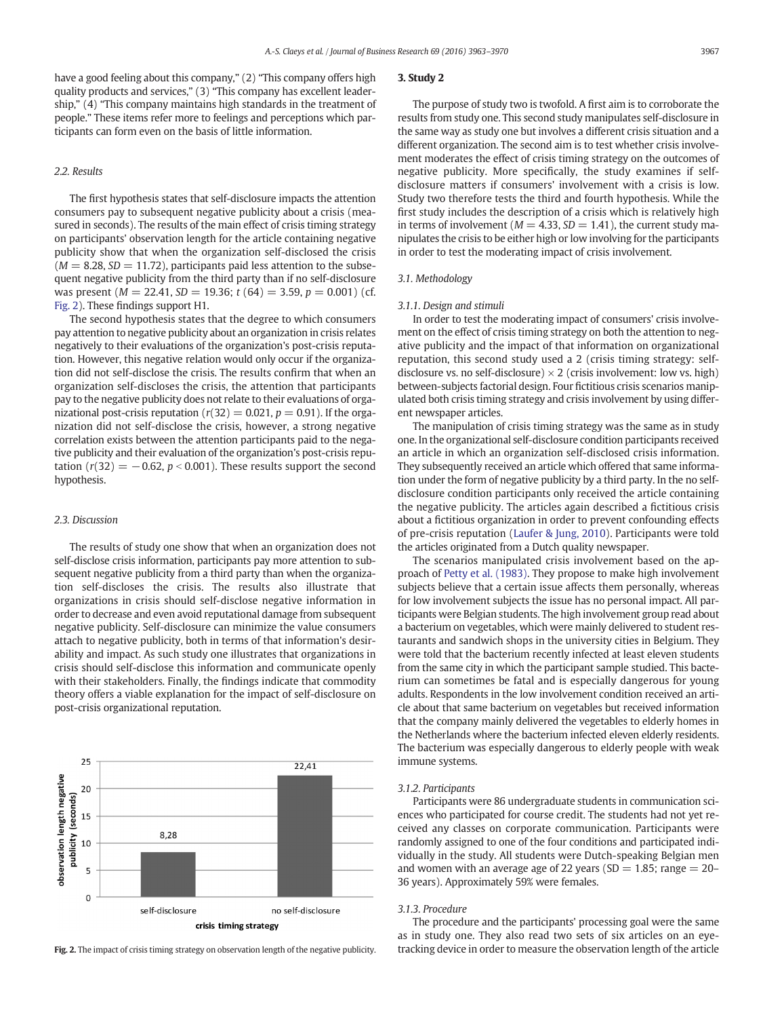have a good feeling about this company," (2) "This company offers high quality products and services," (3) "This company has excellent leadership," (4) "This company maintains high standards in the treatment of people." These items refer more to feelings and perceptions which participants can form even on the basis of little information.

# 2.2. Results

The first hypothesis states that self-disclosure impacts the attention consumers pay to subsequent negative publicity about a crisis (measured in seconds). The results of the main effect of crisis timing strategy on participants' observation length for the article containing negative publicity show that when the organization self-disclosed the crisis  $(M = 8.28, SD = 11.72)$ , participants paid less attention to the subsequent negative publicity from the third party than if no self-disclosure was present ( $M = 22.41$ ,  $SD = 19.36$ ;  $t(64) = 3.59$ ,  $p = 0.001$ ) (cf. Fig. 2). These findings support H1.

The second hypothesis states that the degree to which consumers pay attention to negative publicity about an organization in crisis relates negatively to their evaluations of the organization's post-crisis reputation. However, this negative relation would only occur if the organization did not self-disclose the crisis. The results confirm that when an organization self-discloses the crisis, the attention that participants pay to the negative publicity does not relate to their evaluations of organizational post-crisis reputation ( $r(32) = 0.021$ ,  $p = 0.91$ ). If the organization did not self-disclose the crisis, however, a strong negative correlation exists between the attention participants paid to the negative publicity and their evaluation of the organization's post-crisis reputation ( $r(32) = -0.62$ ,  $p < 0.001$ ). These results support the second hypothesis.

#### 2.3. Discussion

The results of study one show that when an organization does not self-disclose crisis information, participants pay more attention to subsequent negative publicity from a third party than when the organization self-discloses the crisis. The results also illustrate that organizations in crisis should self-disclose negative information in order to decrease and even avoid reputational damage from subsequent negative publicity. Self-disclosure can minimize the value consumers attach to negative publicity, both in terms of that information's desirability and impact. As such study one illustrates that organizations in crisis should self-disclose this information and communicate openly with their stakeholders. Finally, the findings indicate that commodity theory offers a viable explanation for the impact of self-disclosure on post-crisis organizational reputation.



# 3. Study 2

The purpose of study two is twofold. A first aim is to corroborate the results from study one. This second study manipulates self-disclosure in the same way as study one but involves a different crisis situation and a different organization. The second aim is to test whether crisis involvement moderates the effect of crisis timing strategy on the outcomes of negative publicity. More specifically, the study examines if selfdisclosure matters if consumers' involvement with a crisis is low. Study two therefore tests the third and fourth hypothesis. While the first study includes the description of a crisis which is relatively high in terms of involvement ( $M = 4.33$ ,  $SD = 1.41$ ), the current study manipulates the crisis to be either high or low involving for the participants in order to test the moderating impact of crisis involvement.

## 3.1. Methodology

#### 3.1.1. Design and stimuli

In order to test the moderating impact of consumers' crisis involvement on the effect of crisis timing strategy on both the attention to negative publicity and the impact of that information on organizational reputation, this second study used a 2 (crisis timing strategy: selfdisclosure vs. no self-disclosure)  $\times$  2 (crisis involvement: low vs. high) between-subjects factorial design. Four fictitious crisis scenarios manipulated both crisis timing strategy and crisis involvement by using different newspaper articles.

The manipulation of crisis timing strategy was the same as in study one. In the organizational self-disclosure condition participants received an article in which an organization self-disclosed crisis information. They subsequently received an article which offered that same information under the form of negative publicity by a third party. In the no selfdisclosure condition participants only received the article containing the negative publicity. The articles again described a fictitious crisis about a fictitious organization in order to prevent confounding effects of pre-crisis reputation ([Laufer & Jung, 2010\)](#page-7-0). Participants were told the articles originated from a Dutch quality newspaper.

The scenarios manipulated crisis involvement based on the approach of [Petty et al. \(1983\).](#page-7-0) They propose to make high involvement subjects believe that a certain issue affects them personally, whereas for low involvement subjects the issue has no personal impact. All participants were Belgian students. The high involvement group read about a bacterium on vegetables, which were mainly delivered to student restaurants and sandwich shops in the university cities in Belgium. They were told that the bacterium recently infected at least eleven students from the same city in which the participant sample studied. This bacterium can sometimes be fatal and is especially dangerous for young adults. Respondents in the low involvement condition received an article about that same bacterium on vegetables but received information that the company mainly delivered the vegetables to elderly homes in the Netherlands where the bacterium infected eleven elderly residents. The bacterium was especially dangerous to elderly people with weak immune systems.

#### 3.1.2. Participants

Participants were 86 undergraduate students in communication sciences who participated for course credit. The students had not yet received any classes on corporate communication. Participants were randomly assigned to one of the four conditions and participated individually in the study. All students were Dutch-speaking Belgian men and women with an average age of 22 years ( $SD = 1.85$ ; range  $= 20-$ 36 years). Approximately 59% were females.

#### 3.1.3. Procedure

The procedure and the participants' processing goal were the same as in study one. They also read two sets of six articles on an eye-Fig. 2. The impact of crisis timing strategy on observation length of the negative publicity. tracking device in order to measure the observation length of the article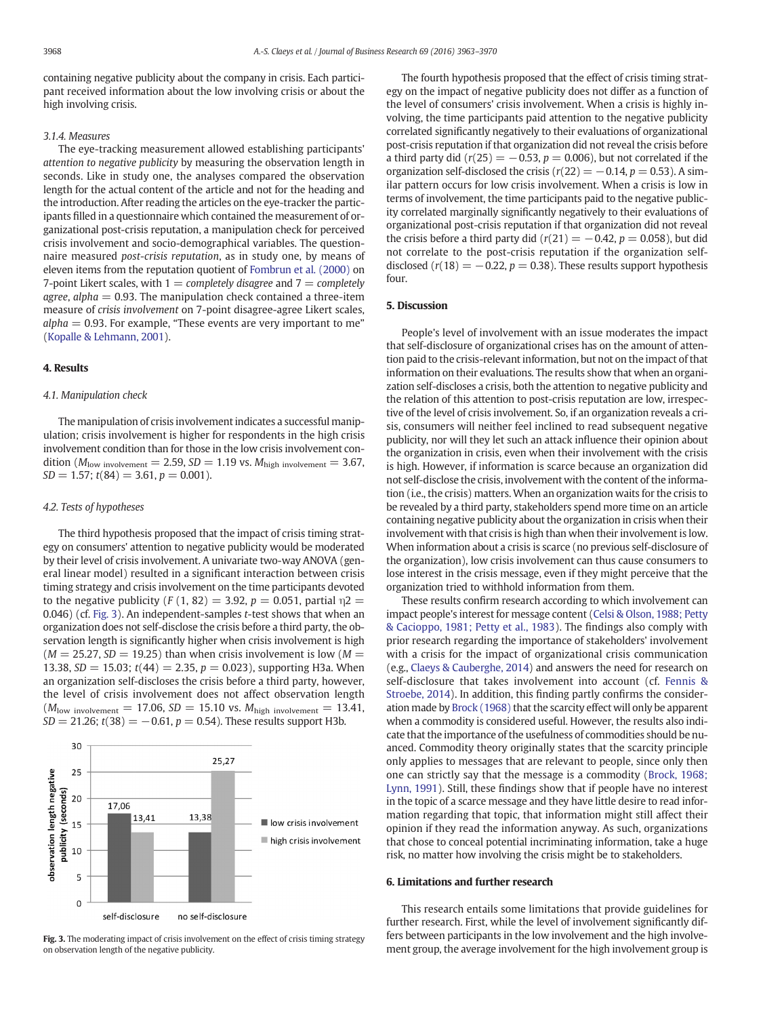containing negative publicity about the company in crisis. Each participant received information about the low involving crisis or about the high involving crisis.

## 3.1.4. Measures

The eye-tracking measurement allowed establishing participants' attention to negative publicity by measuring the observation length in seconds. Like in study one, the analyses compared the observation length for the actual content of the article and not for the heading and the introduction. After reading the articles on the eye-tracker the participants filled in a questionnaire which contained the measurement of organizational post-crisis reputation, a manipulation check for perceived crisis involvement and socio-demographical variables. The questionnaire measured post-crisis reputation, as in study one, by means of eleven items from the reputation quotient of [Fombrun et al. \(2000\)](#page-7-0) on 7-point Likert scales, with  $1 =$  completely disagree and  $7 =$  completely agree, alpha  $= 0.93$ . The manipulation check contained a three-item measure of crisis involvement on 7-point disagree-agree Likert scales,  $alpha = 0.93$ . For example, "These events are very important to me" [\(Kopalle & Lehmann, 2001](#page-7-0)).

# 4. Results

## 4.1. Manipulation check

The manipulation of crisis involvement indicates a successful manipulation; crisis involvement is higher for respondents in the high crisis involvement condition than for those in the low crisis involvement condition ( $M_{\text{low involvement}} = 2.59$ ,  $SD = 1.19$  vs.  $M_{\text{high involvement}} = 3.67$ ,  $SD = 1.57$ ;  $t(84) = 3.61$ ,  $p = 0.001$ ).

#### 4.2. Tests of hypotheses

The third hypothesis proposed that the impact of crisis timing strategy on consumers' attention to negative publicity would be moderated by their level of crisis involvement. A univariate two-way ANOVA (general linear model) resulted in a significant interaction between crisis timing strategy and crisis involvement on the time participants devoted to the negative publicity (F (1, 82) = 3.92,  $p = 0.051$ , partial  $\eta$ 2 = 0.046) (cf. Fig. 3). An independent-samples t-test shows that when an organization does not self-disclose the crisis before a third party, the observation length is significantly higher when crisis involvement is high  $(M = 25.27, SD = 19.25)$  than when crisis involvement is low  $(M = 10.25)$ 13.38,  $SD = 15.03$ ;  $t(44) = 2.35$ ,  $p = 0.023$ ), supporting H3a. When an organization self-discloses the crisis before a third party, however, the level of crisis involvement does not affect observation length  $(M_{\text{low involvement}} = 17.06, SD = 15.10$  vs.  $M_{\text{high involvement}} = 13.41$ ,  $SD = 21.26$ ;  $t(38) = -0.61$ ,  $p = 0.54$ ). These results support H3b.



Fig. 3. The moderating impact of crisis involvement on the effect of crisis timing strategy on observation length of the negative publicity.

The fourth hypothesis proposed that the effect of crisis timing strategy on the impact of negative publicity does not differ as a function of the level of consumers' crisis involvement. When a crisis is highly involving, the time participants paid attention to the negative publicity correlated significantly negatively to their evaluations of organizational post-crisis reputation if that organization did not reveal the crisis before a third party did ( $r(25) = -0.53$ ,  $p = 0.006$ ), but not correlated if the organization self-disclosed the crisis ( $r(22) = -0.14$ ,  $p = 0.53$ ). A similar pattern occurs for low crisis involvement. When a crisis is low in terms of involvement, the time participants paid to the negative publicity correlated marginally significantly negatively to their evaluations of organizational post-crisis reputation if that organization did not reveal the crisis before a third party did ( $r(21) = -0.42$ ,  $p = 0.058$ ), but did not correlate to the post-crisis reputation if the organization selfdisclosed ( $r(18) = -0.22$ ,  $p = 0.38$ ). These results support hypothesis four.

# 5. Discussion

People's level of involvement with an issue moderates the impact that self-disclosure of organizational crises has on the amount of attention paid to the crisis-relevant information, but not on the impact of that information on their evaluations. The results show that when an organization self-discloses a crisis, both the attention to negative publicity and the relation of this attention to post-crisis reputation are low, irrespective of the level of crisis involvement. So, if an organization reveals a crisis, consumers will neither feel inclined to read subsequent negative publicity, nor will they let such an attack influence their opinion about the organization in crisis, even when their involvement with the crisis is high. However, if information is scarce because an organization did not self-disclose the crisis, involvement with the content of the information (i.e., the crisis) matters. When an organization waits for the crisis to be revealed by a third party, stakeholders spend more time on an article containing negative publicity about the organization in crisis when their involvement with that crisis is high than when their involvement is low. When information about a crisis is scarce (no previous self-disclosure of the organization), low crisis involvement can thus cause consumers to lose interest in the crisis message, even if they might perceive that the organization tried to withhold information from them.

These results confirm research according to which involvement can impact people's interest for message content [\(Celsi & Olson, 1988; Petty](#page-6-0) [& Cacioppo, 1981; Petty et al., 1983](#page-6-0)). The findings also comply with prior research regarding the importance of stakeholders' involvement with a crisis for the impact of organizational crisis communication (e.g., [Claeys & Cauberghe, 2014\)](#page-6-0) and answers the need for research on self-disclosure that takes involvement into account (cf. [Fennis &](#page-7-0) [Stroebe, 2014\)](#page-7-0). In addition, this finding partly confirms the consideration made by [Brock \(1968\)](#page-6-0) that the scarcity effect will only be apparent when a commodity is considered useful. However, the results also indicate that the importance of the usefulness of commodities should be nuanced. Commodity theory originally states that the scarcity principle only applies to messages that are relevant to people, since only then one can strictly say that the message is a commodity [\(Brock, 1968;](#page-6-0) [Lynn, 1991\)](#page-6-0). Still, these findings show that if people have no interest in the topic of a scarce message and they have little desire to read information regarding that topic, that information might still affect their opinion if they read the information anyway. As such, organizations that chose to conceal potential incriminating information, take a huge risk, no matter how involving the crisis might be to stakeholders.

#### 6. Limitations and further research

This research entails some limitations that provide guidelines for further research. First, while the level of involvement significantly differs between participants in the low involvement and the high involvement group, the average involvement for the high involvement group is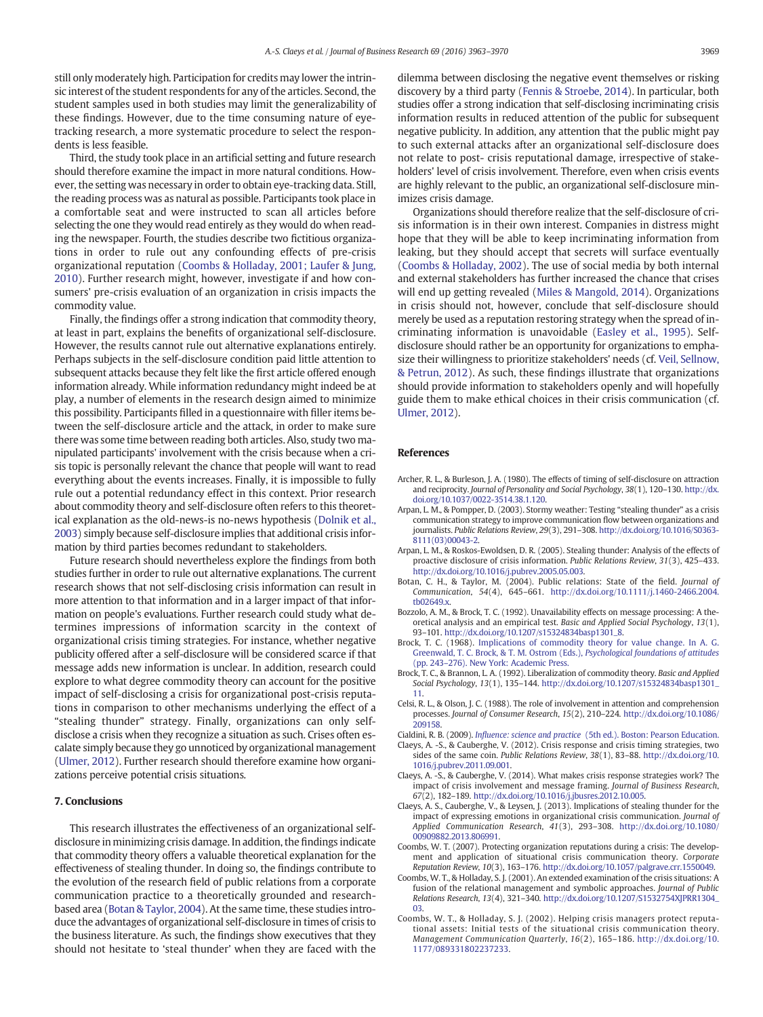<span id="page-6-0"></span>still only moderately high. Participation for credits may lower the intrinsic interest of the student respondents for any of the articles. Second, the student samples used in both studies may limit the generalizability of these findings. However, due to the time consuming nature of eyetracking research, a more systematic procedure to select the respondents is less feasible.

Third, the study took place in an artificial setting and future research should therefore examine the impact in more natural conditions. However, the setting was necessary in order to obtain eye-tracking data. Still, the reading process was as natural as possible. Participants took place in a comfortable seat and were instructed to scan all articles before selecting the one they would read entirely as they would do when reading the newspaper. Fourth, the studies describe two fictitious organizations in order to rule out any confounding effects of pre-crisis organizational reputation (Coombs & Holladay, 2001; Laufer & Jung, 2010). Further research might, however, investigate if and how consumers' pre-crisis evaluation of an organization in crisis impacts the commodity value.

Finally, the findings offer a strong indication that commodity theory, at least in part, explains the benefits of organizational self-disclosure. However, the results cannot rule out alternative explanations entirely. Perhaps subjects in the self-disclosure condition paid little attention to subsequent attacks because they felt like the first article offered enough information already. While information redundancy might indeed be at play, a number of elements in the research design aimed to minimize this possibility. Participants filled in a questionnaire with filler items between the self-disclosure article and the attack, in order to make sure there was some time between reading both articles. Also, study two manipulated participants' involvement with the crisis because when a crisis topic is personally relevant the chance that people will want to read everything about the events increases. Finally, it is impossible to fully rule out a potential redundancy effect in this context. Prior research about commodity theory and self-disclosure often refers to this theoretical explanation as the old-news-is no-news hypothesis ([Dolnik et al.,](#page-7-0) [2003](#page-7-0)) simply because self-disclosure implies that additional crisis information by third parties becomes redundant to stakeholders.

Future research should nevertheless explore the findings from both studies further in order to rule out alternative explanations. The current research shows that not self-disclosing crisis information can result in more attention to that information and in a larger impact of that information on people's evaluations. Further research could study what determines impressions of information scarcity in the context of organizational crisis timing strategies. For instance, whether negative publicity offered after a self-disclosure will be considered scarce if that message adds new information is unclear. In addition, research could explore to what degree commodity theory can account for the positive impact of self-disclosing a crisis for organizational post-crisis reputations in comparison to other mechanisms underlying the effect of a "stealing thunder" strategy. Finally, organizations can only selfdisclose a crisis when they recognize a situation as such. Crises often escalate simply because they go unnoticed by organizational management [\(Ulmer, 2012\)](#page-7-0). Further research should therefore examine how organizations perceive potential crisis situations.

## 7. Conclusions

This research illustrates the effectiveness of an organizational selfdisclosure in minimizing crisis damage. In addition, the findings indicate that commodity theory offers a valuable theoretical explanation for the effectiveness of stealing thunder. In doing so, the findings contribute to the evolution of the research field of public relations from a corporate communication practice to a theoretically grounded and researchbased area (Botan & Taylor, 2004). At the same time, these studies introduce the advantages of organizational self-disclosure in times of crisis to the business literature. As such, the findings show executives that they should not hesitate to 'steal thunder' when they are faced with the dilemma between disclosing the negative event themselves or risking discovery by a third party [\(Fennis & Stroebe, 2014\)](#page-7-0). In particular, both studies offer a strong indication that self-disclosing incriminating crisis information results in reduced attention of the public for subsequent negative publicity. In addition, any attention that the public might pay to such external attacks after an organizational self-disclosure does not relate to post- crisis reputational damage, irrespective of stakeholders' level of crisis involvement. Therefore, even when crisis events are highly relevant to the public, an organizational self-disclosure minimizes crisis damage.

Organizations should therefore realize that the self-disclosure of crisis information is in their own interest. Companies in distress might hope that they will be able to keep incriminating information from leaking, but they should accept that secrets will surface eventually (Coombs & Holladay, 2002). The use of social media by both internal and external stakeholders has further increased the chance that crises will end up getting revealed [\(Miles & Mangold, 2014\)](#page-7-0). Organizations in crisis should not, however, conclude that self-disclosure should merely be used as a reputation restoring strategy when the spread of incriminating information is unavoidable [\(Easley et al., 1995\)](#page-7-0). Selfdisclosure should rather be an opportunity for organizations to emphasize their willingness to prioritize stakeholders' needs (cf. [Veil, Sellnow,](#page-7-0) [& Petrun, 2012](#page-7-0)). As such, these findings illustrate that organizations should provide information to stakeholders openly and will hopefully guide them to make ethical choices in their crisis communication (cf. [Ulmer, 2012](#page-7-0)).

#### References

- Archer, R. L., & Burleson, J. A. (1980). The effects of timing of self-disclosure on attraction and reciprocity. Journal of Personality and Social Psychology, 38(1), 120–130. http://dx. doi.org[/10.1037/0022-3514.38.1.120.](http://dx.doi.org/10.1037/0022-3514.38.1.120)
- Arpan, L. M., & Pompper, D. (2003). Stormy weather: Testing "stealing thunder" as a crisis communication strategy to improve communication flow between organizations and journalists. Public Relations Review, 29(3), 291–308. http://dx.doi.org/[10.1016/S0363-](http://dx.doi.org/10.1016/S0363-8111(03)00043-2) [8111\(03\)00043-2](http://dx.doi.org/10.1016/S0363-8111(03)00043-2).
- Arpan, L. M., & Roskos-Ewoldsen, D. R. (2005). Stealing thunder: Analysis of the effects of proactive disclosure of crisis information. Public Relations Review, 31(3), 425–433. http://dx.doi.org[/10.1016/j.pubrev.2005.05.003](http://dx.doi.org/10.1016/j.pubrev.2005.05.003).
- Botan, C. H., & Taylor, M. (2004). Public relations: State of the field. Journal of Communication, 54(4), 645–661. http://dx.doi.org/[10.1111/j.1460-2466.2004.](http://dx.doi.org/10.1111/j.1460-2466.2004.tb02649.x) [tb02649.x.](http://dx.doi.org/10.1111/j.1460-2466.2004.tb02649.x)
- Bozzolo, A. M., & Brock, T. C. (1992). Unavailability effects on message processing: A theoretical analysis and an empirical test. Basic and Applied Social Psychology, 13(1), 93–101. http://dx.doi.org[/10.1207/s15324834basp1301\\_8.](http://dx.doi.org/10.1207/s15324834basp1301_8)
- Brock, T. C. (1968). [Implications of commodity theory for value change. In A. G.](http://refhub.elsevier.com/S0148-2963(16)30446-5/rf0030) [Greenwald, T. C. Brock, & T. M. Ostrom \(Eds.\),](http://refhub.elsevier.com/S0148-2963(16)30446-5/rf0030) Psychological foundations of attitudes (pp. 243–[276\). New York: Academic Press.](http://refhub.elsevier.com/S0148-2963(16)30446-5/rf0030)
- Brock, T. C., & Brannon, L. A. (1992). Liberalization of commodity theory. Basic and Applied Social Psychology, 13(1), 135–144. http://dx.doi.org[/10.1207/s15324834basp1301\\_](http://dx.doi.org/10.1207/s15324834basp1301_11) [11.](http://dx.doi.org/10.1207/s15324834basp1301_11)
- Celsi, R. L., & Olson, J. C. (1988). The role of involvement in attention and comprehension processes. Journal of Consumer Research, 15(2), 210–224. http://dx.doi.org[/10.1086/](http://dx.doi.org/10.1086/209158) [209158.](http://dx.doi.org/10.1086/209158)

Cialdini, R. B. (2009). Influence: science and practice [\(5th ed.\). Boston: Pearson Education.](http://refhub.elsevier.com/S0148-2963(16)30446-5/rf0045)

- Claeys, A. -S., & Cauberghe, V. (2012). Crisis response and crisis timing strategies, two sides of the same coin. Public Relations Review, 38(1), 83–88. http://dx.doi.org/[10.](http://dx.doi.org/10.1016/j.pubrev.2011.09.001) [1016/j.pubrev.2011.09.001](http://dx.doi.org/10.1016/j.pubrev.2011.09.001).
- Claeys, A. -S., & Cauberghe, V. (2014). What makes crisis response strategies work? The impact of crisis involvement and message framing. Journal of Business Research, 67(2), 182–189. http://dx.doi.org/[10.1016/j.jbusres.2012.10.005.](http://dx.doi.org/10.1016/j.jbusres.2012.10.005)
- Claeys, A. S., Cauberghe, V., & Leysen, J. (2013). Implications of stealing thunder for the impact of expressing emotions in organizational crisis communication. Journal of Applied Communication Research, 41(3), 293–308. http://dx.doi.org[/10.1080/](http://dx.doi.org/10.1080/00909882.2013.806991) [00909882.2013.806991](http://dx.doi.org/10.1080/00909882.2013.806991).
- Coombs, W. T. (2007). Protecting organization reputations during a crisis: The development and application of situational crisis communication theory. Corporate Reputation Review, 10(3), 163–176. http://dx.doi.org/[10.1057/palgrave.crr.1550049](http://dx.doi.org/10.1057/palgrave.crr.1550049).
- Coombs, W. T., & Holladay, S. J. (2001). An extended examination of the crisis situations: A fusion of the relational management and symbolic approaches. Journal of Public Relations Research, 13(4), 321–340. http://dx.doi.org[/10.1207/S1532754XJPRR1304\\_](http://dx.doi.org/10.1207/S1532754XJPRR1304_03) [03.](http://dx.doi.org/10.1207/S1532754XJPRR1304_03)
- Coombs, W. T., & Holladay, S. J. (2002). Helping crisis managers protect reputational assets: Initial tests of the situational crisis communication theory. Management Communication Quarterly, 16(2), 165–186. http://dx.doi.org[/10.](http://dx.doi.org/10.1177/089331802237233) [1177/089331802237233](http://dx.doi.org/10.1177/089331802237233).